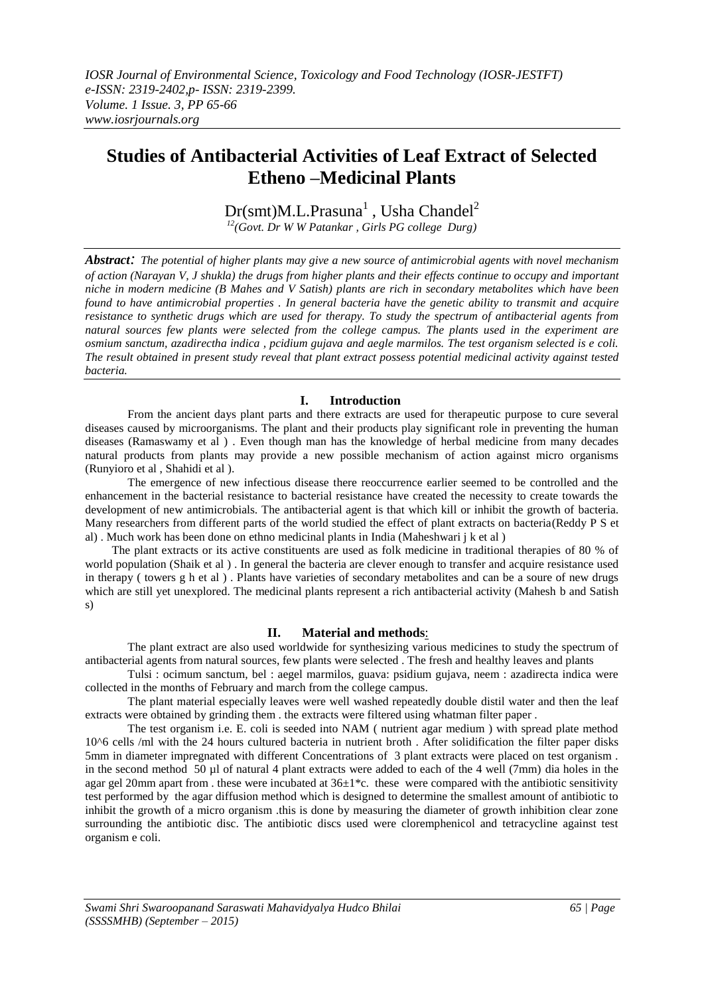# **Studies of Antibacterial Activities of Leaf Extract of Selected Etheno –Medicinal Plants**

 $Dr(smt)M.L.Prasuna<sup>1</sup>$ , Usha Chandel<sup>2</sup>

*<sup>12</sup>(Govt. Dr W W Patankar , Girls PG college Durg)*

*Abstract: The potential of higher plants may give a new source of antimicrobial agents with novel mechanism of action (Narayan V, J shukla) the drugs from higher plants and their effects continue to occupy and important niche in modern medicine (B Mahes and V Satish) plants are rich in secondary metabolites which have been found to have antimicrobial properties . In general bacteria have the genetic ability to transmit and acquire resistance to synthetic drugs which are used for therapy. To study the spectrum of antibacterial agents from natural sources few plants were selected from the college campus. The plants used in the experiment are osmium sanctum, azadirectha indica , pcidium gujava and aegle marmilos. The test organism selected is e coli. The result obtained in present study reveal that plant extract possess potential medicinal activity against tested bacteria.*

## **I. Introduction**

From the ancient days plant parts and there extracts are used for therapeutic purpose to cure several diseases caused by microorganisms. The plant and their products play significant role in preventing the human diseases (Ramaswamy et al ) . Even though man has the knowledge of herbal medicine from many decades natural products from plants may provide a new possible mechanism of action against micro organisms (Runyioro et al , Shahidi et al ).

The emergence of new infectious disease there reoccurrence earlier seemed to be controlled and the enhancement in the bacterial resistance to bacterial resistance have created the necessity to create towards the development of new antimicrobials. The antibacterial agent is that which kill or inhibit the growth of bacteria. Many researchers from different parts of the world studied the effect of plant extracts on bacteria(Reddy P S et al) . Much work has been done on ethno medicinal plants in India (Maheshwari j k et al )

The plant extracts or its active constituents are used as folk medicine in traditional therapies of 80 % of world population (Shaik et al ) . In general the bacteria are clever enough to transfer and acquire resistance used in therapy ( towers g h et al ) . Plants have varieties of secondary metabolites and can be a soure of new drugs which are still yet unexplored. The medicinal plants represent a rich antibacterial activity (Mahesh b and Satish s)

### **II. Material and methods**:

The plant extract are also used worldwide for synthesizing various medicines to study the spectrum of antibacterial agents from natural sources, few plants were selected . The fresh and healthy leaves and plants

Tulsi : ocimum sanctum, bel : aegel marmilos, guava: psidium gujava, neem : azadirecta indica were collected in the months of February and march from the college campus.

The plant material especially leaves were well washed repeatedly double distil water and then the leaf extracts were obtained by grinding them . the extracts were filtered using whatman filter paper .

The test organism i.e. E. coli is seeded into NAM ( nutrient agar medium ) with spread plate method 10^6 cells /ml with the 24 hours cultured bacteria in nutrient broth . After solidification the filter paper disks 5mm in diameter impregnated with different Concentrations of 3 plant extracts were placed on test organism . in the second method 50 µl of natural 4 plant extracts were added to each of the 4 well (7mm) dia holes in the agar gel 20mm apart from . these were incubated at  $36\pm1\text{*c}$ . these were compared with the antibiotic sensitivity test performed by the agar diffusion method which is designed to determine the smallest amount of antibiotic to inhibit the growth of a micro organism .this is done by measuring the diameter of growth inhibition clear zone surrounding the antibiotic disc. The antibiotic discs used were cloremphenicol and tetracycline against test organism e coli.